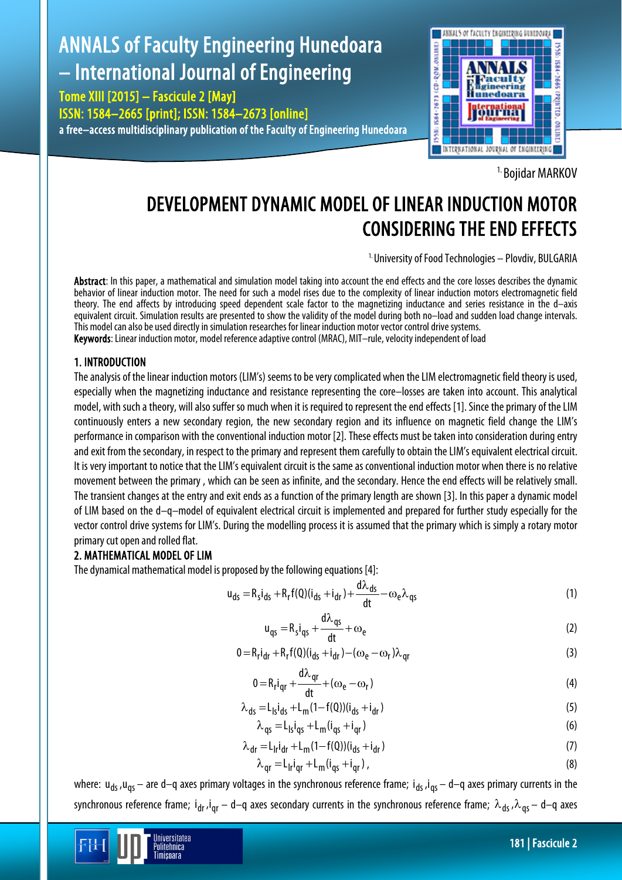# ANNALS of Faculty Engineering Hunedoara – International Journal of Engineering

Tome XIII [2015] – Fascicule 2 [May] ISSN: 1584–2665 [print]; ISSN: 1584–2673 [online] a free–access multidisciplinary publication of the Faculty of Engineering Hunedoara



<sup>1.</sup> Boiidar MARKOV

# DEVELOPMENT DYNAMIC MODEL OF LINEAR INDUCTION MOTOR CONSIDERING THE END EFFECTS

<sup>1.</sup> University of Food Technologies - Plovdiv, BULGARIA

Abstract: In this paper, a mathematical and simulation model taking into account the end effects and the core losses describes the dynamic behavior of linear induction motor. The need for such a model rises due to the complexity of linear induction motors electromagnetic field theory. The end affects by introducing speed dependent scale factor to the magnetizing inductance and series resistance in the d–axis equivalent circuit. Simulation results are presented to show the validity of the model during both no–load and sudden load change intervals. This model can also be used directly in simulation researches for linear induction motor vector control drive systems. Keywords: Linear induction motor, model reference adaptive control (MRAC), MIT–rule, velocity independent of load

## 1. INTRODUCTION

The analysis of the linear induction motors (LIM's) seems to be very complicated when the LIM electromagnetic field theory is used, especially when the magnetizing inductance and resistance representing the core–losses are taken into account. This analytical model, with such a theory, will also suffer so much when it is required to represent the end effects [1]. Since the primary of the LIM continuously enters a new secondary region, the new secondary region and its influence on magnetic field change the LIM's performance in comparison with the conventional induction motor [2]. These effects must be taken into consideration during entry and exit from the secondary, in respect to the primary and represent them carefully to obtain the LIM's equivalent electrical circuit. It is very important to notice that the LIM's equivalent circuit is the same as conventional induction motor when there is no relative movement between the primary , which can be seen as infinite, and the secondary. Hence the end effects will be relatively small. The transient changes at the entry and exit ends as a function of the primary length are shown [3]. In this paper a dynamic model of LIM based on the d–q–model of equivalent electrical circuit is implemented and prepared for further study especially for the vector control drive systems for LIM's. During the modelling process it is assumed that the primary which is simply a rotary motor primary cut open and rolled flat.

# 2. MATHEMATICAL MODEL OF LIM

Iniversitatea Politehnica Timisnara

The dynamical mathematical model is proposed by the following equations [4]:

$$
u_{ds} = R_s i_{ds} + R_r f(0)(i_{ds} + i_{dr}) + \frac{d\lambda_{ds}}{dt} - \omega_e \lambda_{qs}
$$
\n(1)

$$
u_{qs} = R_s i_{qs} + \frac{d\lambda_{qs}}{dt} + \omega_e
$$
 (2)

$$
0 = R_r i_{dr} + R_r f(0) (i_{ds} + i_{dr}) - (\omega_e - \omega_r) \lambda_{qr}
$$
\n(3)

$$
0 = R_r i_{qr} + \frac{d\lambda_{qr}}{dt} + (\omega_e - \omega_r)
$$
 (4)

$$
\lambda_{ds} = L_{ls} i_{ds} + L_m (1 - f(0)) (i_{ds} + i_{dr})
$$
\n(5)

$$
\lambda_{qs} = L_{ls}i_{qs} + L_{m}(i_{qs} + i_{qr})
$$
\n(6)

$$
\lambda_{\rm dr} = L_{\rm lr} i_{\rm dr} + L_{\rm m} (1 - f(0)) (i_{\rm ds} + i_{\rm dr}) \tag{7}
$$

$$
\lambda_{qr} = L_{1r} i_{qr} + L_m (i_{qs} + i_{qr}), \qquad (8)
$$

where:  $u_{ds}$ ,  $u_{qs}$  – are d–q axes primary voltages in the synchronous reference frame;  $i_{ds}$ ,  $i_{qs}$  – d–q axes primary currents in the synchronous reference frame;  $i_{dr}$ , $i_{qr}$  – d–q axes secondary currents in the synchronous reference frame;  $\lambda_{ds}$ ,  $\lambda_{qs}$  – d–q axes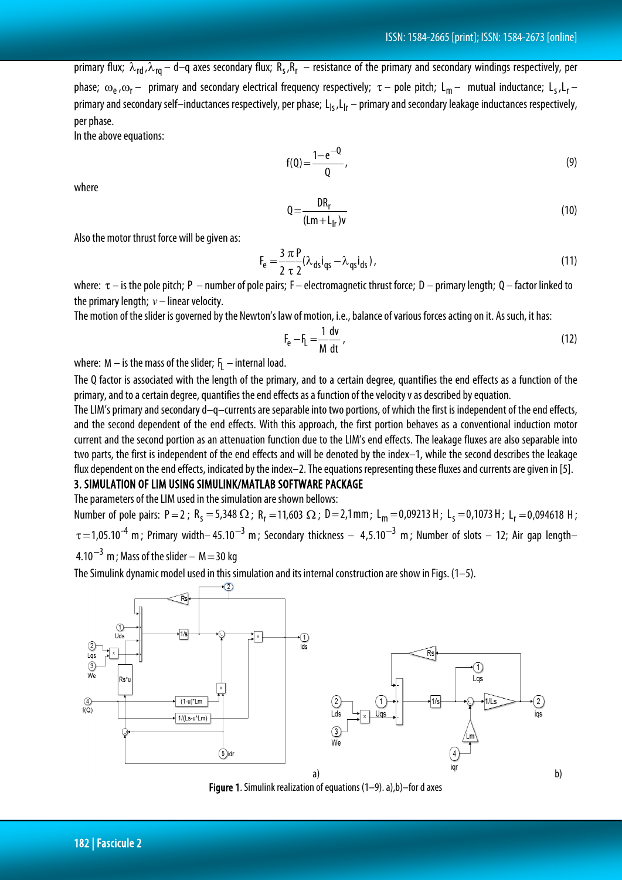primary flux;  $\lambda_{rd}$ , $\lambda_{rq}$  – d–q axes secondary flux;  $R_s$ , $R_r$  – resistance of the primary and secondary windings respectively, per phase;  $\omega_e$ , $\omega_r$  – primary and secondary electrical frequency respectively;  $\tau$  – pole pitch; L<sub>m</sub> – mutual inductance; L<sub>s</sub>,L<sub>r</sub> – primary and secondary self-inductances respectively, per phase;  $L_{ls}$ ,  $L_{lr}$  – primary and secondary leakage inductances respectively, per phase.

In the above equations:

$$
f(Q) = \frac{1 - e^{-Q}}{Q},
$$
\n(9)

where

$$
Q = \frac{DR_r}{(Lm + L_{|r})v}
$$
 (10)

Also the motor thrust force will be given as:

$$
F_e = \frac{3 \pi P}{2 \tau 2} (\lambda_{ds} i_{qs} - \lambda_{qs} i_{ds}),
$$
\n(11)

where:  $\tau$  – is the pole pitch; P – number of pole pairs; F – electromagnetic thrust force; D – primary length; Q – factor linked to the primary length;  $v-$  linear velocity.

The motion of the slider is governed by the Newton's law of motion, i.e., balance of various forces acting on it. As such, it has:

$$
F_e - F_L = \frac{1}{M} \frac{dv}{dt} \tag{12}
$$

where: M  $-$  is the mass of the slider;  $\mathsf{F}_{\mathsf{L}}$   $-$  internal load.

The Q factor is associated with the length of the primary, and to a certain degree, quantifies the end effects as a function of the primary, and to a certain degree, quantifies the end effects as a function of the velocity v as described by equation.

The LIM's primary and secondary d–q–currents are separable into two portions, of which the first is independent of the end effects, and the second dependent of the end effects. With this approach, the first portion behaves as a conventional induction motor current and the second portion as an attenuation function due to the LIM's end effects. The leakage fluxes are also separable into two parts, the first is independent of the end effects and will be denoted by the index–1, while the second describes the leakage flux dependent on the end effects, indicated by the index–2. The equations representing these fluxes and currents are given in [5].

#### 3. SIMULATION OF LIM USING SIMULINK/MATLAB SOFTWARE PACKAGE

The parameters of the LIM used in the simulation are shown bellows:

Number of pole pairs: P = 2; R<sub>s</sub> = 5,348 Ω; R<sub>r</sub> = 11,603 Ω; D = 2,1mm; L<sub>m</sub> = 0,09213 H; L<sub>s</sub> = 0,1073 H; L<sub>r</sub> = 0,094618 H;  $\tau$  = 1,05.10<sup>-4</sup> m; Primary width– 45.10<sup>-3</sup> m; Secondary thickness – 4,5.10<sup>-3</sup> m; Number of slots – 12; Air gap length–  $4.10^{-3}$  m : Mass of the slider – M = 30 kg

The Simulink dynamic model used in this simulation and its internal construction are show in Figs. (1–5).



Figure 1. Simulink realization of equations (1–9). a),b)–for d axes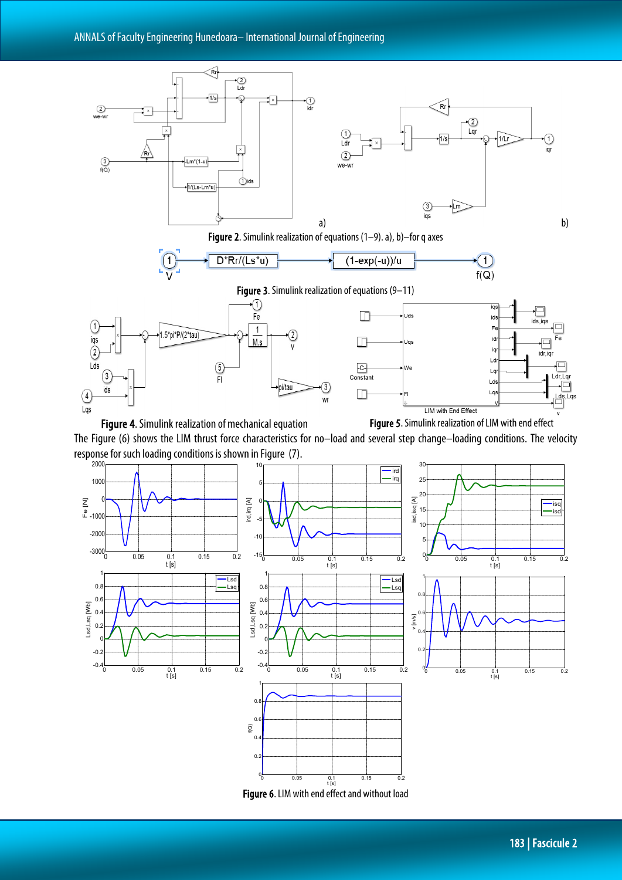

The Figure (6) shows the LIM thrust force characteristics for no–load and several step change–loading conditions. The velocity response for such loading conditions is shown in Figure (7).